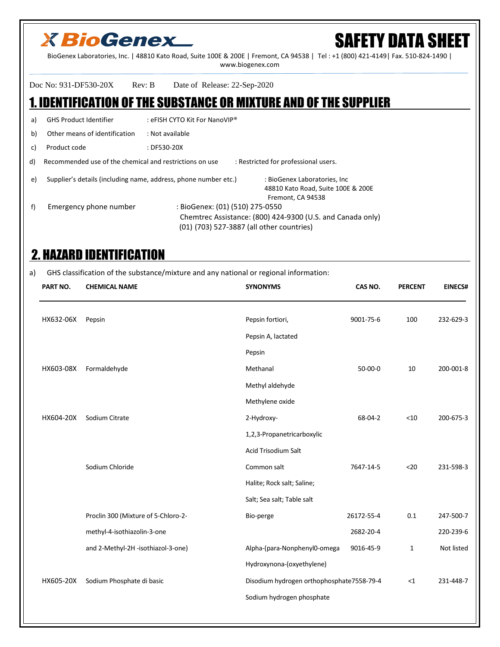# SAFETY DATA SHEET

BioGenex Laboratories, Inc. | 48810 Kato Road, Suite 100E & 200E | Fremont, CA 94538 | Tel : +1 (800) 421-4149| Fax. 510-824-1490 | www.biogenex.com

Doc No: 931-DF530-20X Rev: B Date of Release: 22-Sep-2020

#### 1. IDENTIFICATION OF THE SUBSTANCE OR MIXTURE AND OF THE SUPPLIER

a) GHS Product Identifier : eFISH CYTO Kit For NanoVIP®

b) Other means of identification : Not available

c) Product code : DF530-20X

d) Recommended use of the chemical and restrictions on use : Restricted for professional users.

e) Supplier's details (including name, address, phone number etc.) : BioGenex Laboratories, Inc

 48810 Kato Road, Suite 100E & 200E Fremont, CA 94538 f) Emergency phone number : BioGenex: (01) (510) 275-0550 Chemtrec Assistance: (800) 424-9300 (U.S. and Canada only) (01) (703) 527-3887 (all other countries)

### 2. HAZARD IDENTIFICATION

a) GHS classification of the substance/mixture and any national or regional information:

|                                           | CAS NO.<br><b>PERCENT</b> | <b>EINECS#</b> |
|-------------------------------------------|---------------------------|----------------|
|                                           | 100<br>9001-75-6          | 232-629-3      |
|                                           |                           |                |
|                                           |                           |                |
|                                           | $50-00-0$<br>10           | 200-001-8      |
|                                           |                           |                |
|                                           |                           |                |
|                                           | < 10<br>68-04-2           | 200-675-3      |
| 1,2,3-Propanetricarboxylic                |                           |                |
|                                           |                           |                |
|                                           | 7647-14-5<br><20          | 231-598-3      |
| Halite; Rock salt; Saline;                |                           |                |
| Salt; Sea salt; Table salt                |                           |                |
|                                           | 0.1<br>26172-55-4         | 247-500-7      |
|                                           | 2682-20-4                 | 220-239-6      |
| Alpha-(para-Nonphenyl0-omega              | 9016-45-9<br>1            | Not listed     |
| Hydroxynona-(oxyethylene)                 |                           |                |
| Disodium hydrogen orthophosphate7558-79-4 | <1                        | 231-448-7      |
| Sodium hydrogen phosphate                 |                           |                |
|                                           |                           |                |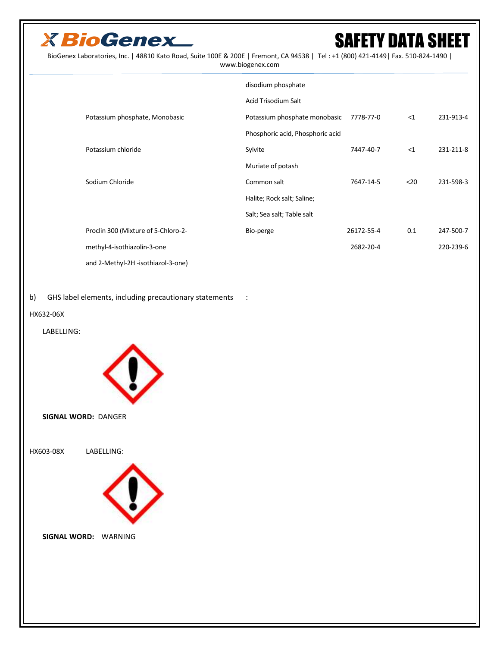

BioGenex Laboratories, Inc. | 48810 Kato Road, Suite 100E & 200E | Fremont, CA 94538 | Tel : +1 (800) 421-4149| Fax. 510-824-1490 | www.biogenex.com

|                                     | disodium phosphate               |            |      |           |
|-------------------------------------|----------------------------------|------------|------|-----------|
|                                     | <b>Acid Trisodium Salt</b>       |            |      |           |
| Potassium phosphate, Monobasic      | Potassium phosphate monobasic    | 7778-77-0  | <1   | 231-913-4 |
|                                     | Phosphoric acid, Phosphoric acid |            |      |           |
| Potassium chloride                  | Sylvite                          | 7447-40-7  | <1   | 231-211-8 |
|                                     | Muriate of potash                |            |      |           |
| Sodium Chloride                     | Common salt                      | 7647-14-5  | $20$ | 231-598-3 |
|                                     | Halite; Rock salt; Saline;       |            |      |           |
|                                     | Salt; Sea salt; Table salt       |            |      |           |
| Proclin 300 (Mixture of 5-Chloro-2- | Bio-perge                        | 26172-55-4 | 0.1  | 247-500-7 |
| methyl-4-isothiazolin-3-one         |                                  | 2682-20-4  |      | 220-239-6 |
| and 2-Methyl-2H -isothiazol-3-one)  |                                  |            |      |           |

b) GHS label elements, including precautionary statements :

HX632-06X

#### LABELLING:



**SIGNAL WORD:** DANGER

HX603-08X LABELLING:



**SIGNAL WORD:** WARNING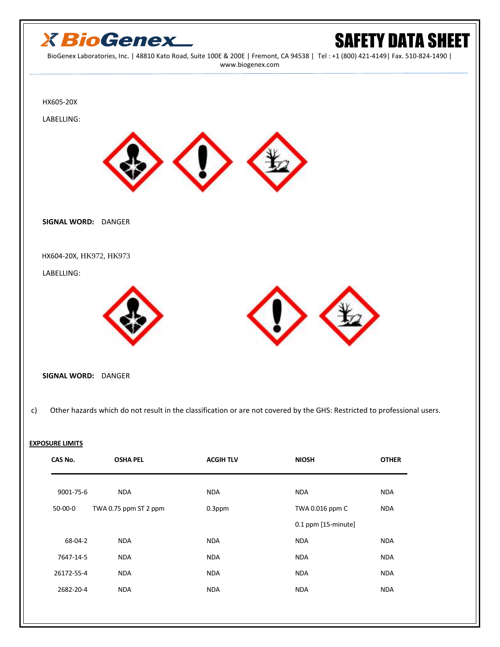

#### **EXPOSURE LIMITS**

| CAS No.    | <b>OSHA PEL</b>       | <b>ACGIH TLV</b> | <b>NIOSH</b>        | <b>OTHER</b> |
|------------|-----------------------|------------------|---------------------|--------------|
| 9001-75-6  | <b>NDA</b>            | <b>NDA</b>       | <b>NDA</b>          | <b>NDA</b>   |
| $50-00-0$  | TWA 0.75 ppm ST 2 ppm | $0.3$ ppm        | TWA 0.016 ppm C     | <b>NDA</b>   |
|            |                       |                  | 0.1 ppm [15-minute] |              |
| 68-04-2    | <b>NDA</b>            | <b>NDA</b>       | <b>NDA</b>          | <b>NDA</b>   |
| 7647-14-5  | <b>NDA</b>            | <b>NDA</b>       | <b>NDA</b>          | <b>NDA</b>   |
| 26172-55-4 | <b>NDA</b>            | <b>NDA</b>       | <b>NDA</b>          | <b>NDA</b>   |
| 2682-20-4  | <b>NDA</b>            | <b>NDA</b>       | <b>NDA</b>          | <b>NDA</b>   |
|            |                       |                  |                     |              |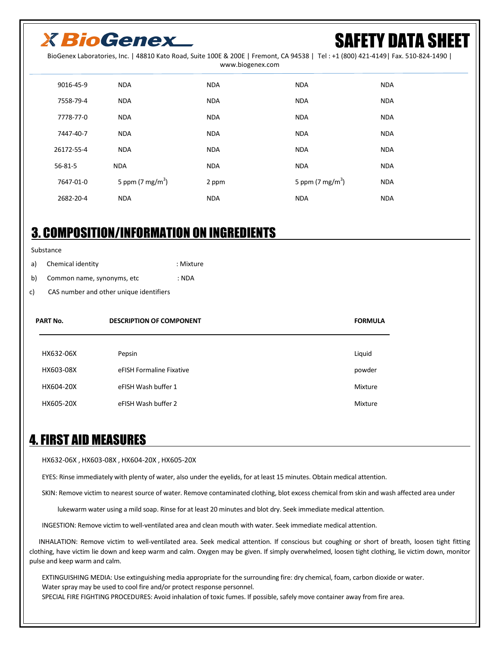## SAFETY DATA SHEET

BioGenex Laboratories, Inc. | 48810 Kato Road, Suite 100E & 200E | Fremont, CA 94538 | Tel : +1 (800) 421-4149| Fax. 510-824-1490 |

|  | www.biogenex.com |
|--|------------------|
|--|------------------|

| 9016-45-9  | <b>NDA</b>                   | <b>NDA</b> | <b>NDA</b>                 | <b>NDA</b> |
|------------|------------------------------|------------|----------------------------|------------|
| 7558-79-4  | <b>NDA</b>                   | <b>NDA</b> | <b>NDA</b>                 | <b>NDA</b> |
| 7778-77-0  | <b>NDA</b>                   | <b>NDA</b> | <b>NDA</b>                 | <b>NDA</b> |
| 7447-40-7  | <b>NDA</b>                   | <b>NDA</b> | <b>NDA</b>                 | <b>NDA</b> |
| 26172-55-4 | <b>NDA</b>                   | <b>NDA</b> | <b>NDA</b>                 | <b>NDA</b> |
| 56-81-5    | <b>NDA</b>                   | <b>NDA</b> | <b>NDA</b>                 | <b>NDA</b> |
| 7647-01-0  | 5 ppm (7 mg/m <sup>3</sup> ) | 2 ppm      | 5 ppm $(7 \text{ mg/m}^3)$ | <b>NDA</b> |
| 2682-20-4  | <b>NDA</b>                   | <b>NDA</b> | <b>NDA</b>                 | <b>NDA</b> |

### 3. COMPOSITION/INFORMATION ON INGREDIENTS

#### Substance

a) Chemical identity in the set of the Mixture

b) Common name, synonyms, etc : NDA

c) CAS number and other unique identifiers

| <b>PART No.</b> | <b>DESCRIPTION OF COMPONENT</b> | <b>FORMULA</b> |
|-----------------|---------------------------------|----------------|
|                 |                                 |                |
| HX632-06X       | Pepsin                          | Liquid         |
| HX603-08X       | eFISH Formaline Fixative        | powder         |
| HX604-20X       | eFISH Wash buffer 1             | Mixture        |
| HX605-20X       | eFISH Wash buffer 2             | Mixture        |

### 4. FIRST AID MEASURES

HX632-06X , HX603-08X , HX604-20X , HX605-20X

EYES: Rinse immediately with plenty of water, also under the eyelids, for at least 15 minutes. Obtain medical attention.

SKIN: Remove victim to nearest source of water. Remove contaminated clothing, blot excess chemical from skin and wash affected area under

lukewarm water using a mild soap. Rinse for at least 20 minutes and blot dry. Seek immediate medical attention.

INGESTION: Remove victim to well-ventilated area and clean mouth with water. Seek immediate medical attention.

 INHALATION: Remove victim to well-ventilated area. Seek medical attention. If conscious but coughing or short of breath, loosen tight fitting clothing, have victim lie down and keep warm and calm. Oxygen may be given. If simply overwhelmed, loosen tight clothing, lie victim down, monitor pulse and keep warm and calm.

 EXTINGUISHING MEDIA: Use extinguishing media appropriate for the surrounding fire: dry chemical, foam, carbon dioxide or water. Water spray may be used to cool fire and/or protect response personnel. SPECIAL FIRE FIGHTING PROCEDURES: Avoid inhalation of toxic fumes. If possible, safely move container away from fire area.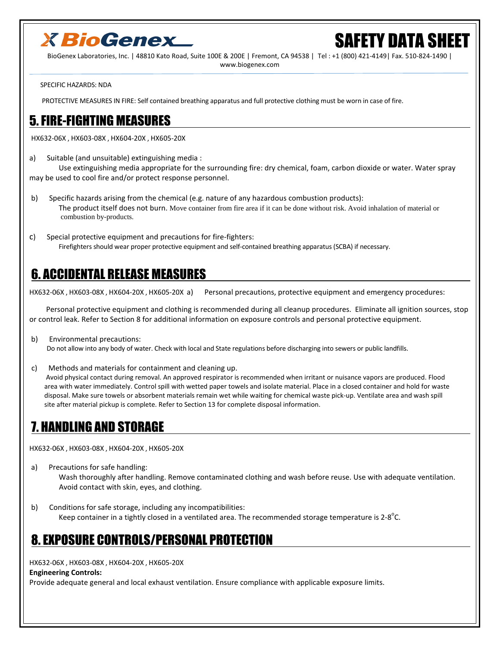

BioGenex Laboratories, Inc. | 48810 Kato Road, Suite 100E & 200E | Fremont, CA 94538 | Tel : +1 (800) 421-4149| Fax. 510-824-1490 | www.biogenex.com

SPECIFIC HAZARDS: NDA

PROTECTIVE MEASURES IN FIRE: Self contained breathing apparatus and full protective clothing must be worn in case of fire.

#### 5. FIRE-FIGHTING MEASURES

HX632-06X , HX603-08X , HX604-20X , HX605-20X

a) Suitable (and unsuitable) extinguishing media :

 Use extinguishing media appropriate for the surrounding fire: dry chemical, foam, carbon dioxide or water. Water spray may be used to cool fire and/or protect response personnel.

- b) Specific hazards arising from the chemical (e.g. nature of any hazardous combustion products): The product itself does not burn. Move container from fire area if it can be done without risk. Avoid inhalation of material or combustion by-products.
- c) Special protective equipment and precautions for fire-fighters: Firefighters should wear proper protective equipment and self-contained breathing apparatus (SCBA) if necessary.

### 6. ACCIDENTAL RELEASE MEASURES

HX632-06X , HX603-08X , HX604-20X , HX605-20X a) Personal precautions, protective equipment and emergency procedures:

 Personal protective equipment and clothing is recommended during all cleanup procedures. Eliminate all ignition sources, stop or control leak. Refer to Section 8 for additional information on exposure controls and personal protective equipment.

- b) Environmental precautions: Do not allow into any body of water. Check with local and State regulations before discharging into sewers or public landfills.
- c) Methods and materials for containment and cleaning up. Avoid physical contact during removal. An approved respirator is recommended when irritant or nuisance vapors are produced. Flood area with water immediately. Control spill with wetted paper towels and isolate material. Place in a closed container and hold for waste disposal. Make sure towels or absorbent materials remain wet while waiting for chemical waste pick-up. Ventilate area and wash spill site after material pickup is complete. Refer to Section 13 for complete disposal information.

### 7. HANDLING AND STORAGE

HX632-06X , HX603-08X , HX604-20X , HX605-20X

- a) Precautions for safe handling: Wash thoroughly after handling. Remove contaminated clothing and wash before reuse. Use with adequate ventilation. Avoid contact with skin, eyes, and clothing.
- b) Conditions for safe storage, including any incompatibilities: Keep container in a tightly closed in a ventilated area. The recommended storage temperature is 2-8 $^{\circ}$ C.

### 8. EXPOSURE CONTROLS/PERSONAL PROTECTION

HX632-06X , HX603-08X , HX604-20X , HX605-20X

#### **Engineering Controls:**

Provide adequate general and local exhaust ventilation. Ensure compliance with applicable exposure limits.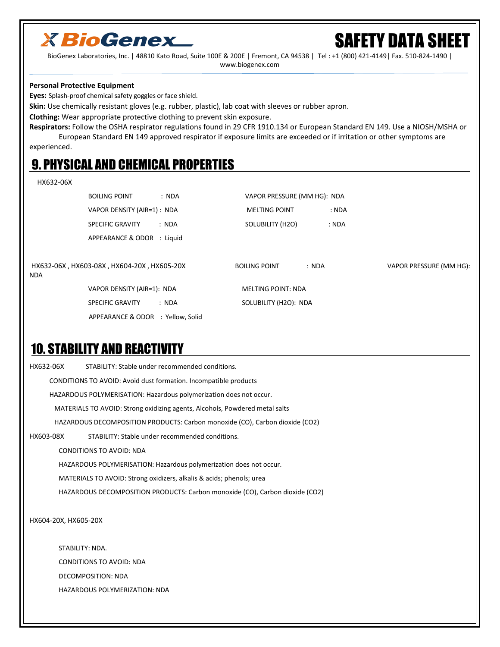

BioGenex Laboratories, Inc. | 48810 Kato Road, Suite 100E & 200E | Fremont, CA 94538 | Tel : +1 (800) 421-4149| Fax. 510-824-1490 | www.biogenex.com

#### **Personal Protective Equipment**

**Eyes:** Splash-proof chemical safety goggles or face shield.

**Skin:** Use chemically resistant gloves (e.g. rubber, plastic), lab coat with sleeves or rubber apron.

**Clothing:** Wear appropriate protective clothing to prevent skin exposure.

**Respirators:** Follow the OSHA respirator regulations found in 29 CFR 1910.134 or European Standard EN 149. Use a NIOSH/MSHA or European Standard EN 149 approved respirator if exposure limits are exceeded or if irritation or other symptoms are experienced.

### 9. PHYSICAL AND CHEMICAL PROPERTIES

#### HX632-06X

|            | <b>BOILING POINT</b><br>: NDA              |       | VAPOR PRESSURE (MM HG): NDA |       |       |                         |
|------------|--------------------------------------------|-------|-----------------------------|-------|-------|-------------------------|
|            | VAPOR DENSITY (AIR=1): NDA                 |       | <b>MELTING POINT</b>        |       | : NDA |                         |
|            | <b>SPECIFIC GRAVITY</b>                    | : NDA | SOLUBILITY (H2O)            |       | : NDA |                         |
|            | APPEARANCE & ODOR : Liquid                 |       |                             |       |       |                         |
| <b>NDA</b> | HX632-06X, HX603-08X, HX604-20X, HX605-20X |       | <b>BOILING POINT</b>        | : NDA |       | VAPOR PRESSURE (MM HG): |
|            | VAPOR DENSITY (AIR=1): NDA                 |       | <b>MELTING POINT: NDA</b>   |       |       |                         |
|            | <b>SPECIFIC GRAVITY</b>                    | : NDA | SOLUBILITY (H2O): NDA       |       |       |                         |
|            | APPEARANCE & ODOR : Yellow, Solid          |       |                             |       |       |                         |

### 10. STABILITY AND REACTIVITY

| HX632-06X |                      | STABILITY: Stable under recommended conditions.                              |
|-----------|----------------------|------------------------------------------------------------------------------|
|           |                      | CONDITIONS TO AVOID: Avoid dust formation. Incompatible products             |
|           |                      | HAZARDOUS POLYMERISATION: Hazardous polymerization does not occur.           |
|           |                      | MATERIALS TO AVOID: Strong oxidizing agents, Alcohols, Powdered metal salts  |
|           |                      | HAZARDOUS DECOMPOSITION PRODUCTS: Carbon monoxide (CO), Carbon dioxide (CO2) |
| HX603-08X |                      | STABILITY: Stable under recommended conditions.                              |
|           |                      | <b>CONDITIONS TO AVOID: NDA</b>                                              |
|           |                      | HAZARDOUS POLYMERISATION: Hazardous polymerization does not occur.           |
|           |                      | MATERIALS TO AVOID: Strong oxidizers, alkalis & acids; phenols; urea         |
|           |                      | HAZARDOUS DECOMPOSITION PRODUCTS: Carbon monoxide (CO), Carbon dioxide (CO2) |
|           | HX604-20X, HX605-20X |                                                                              |
|           | STABILITY: NDA.      |                                                                              |
|           |                      | <b>CONDITIONS TO AVOID: NDA</b>                                              |
|           |                      | DECOMPOSITION: NDA                                                           |
|           |                      | <b>HAZARDOUS POLYMERIZATION: NDA</b>                                         |
|           |                      |                                                                              |
|           |                      |                                                                              |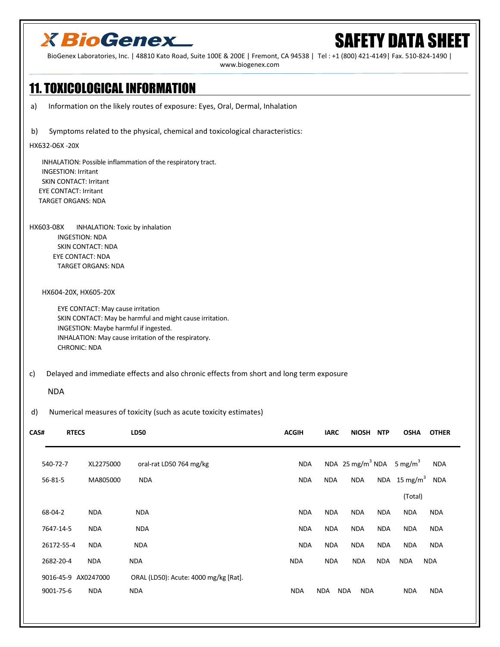# SAFETY DATA SHEET

BioGenex Laboratories, Inc. | 48810 Kato Road, Suite 100E & 200E | Fremont, CA 94538 | Tel : +1 (800) 421-4149| Fax. 510-824-1490 | www.biogenex.com

### 11. TOXICOLOGICAL INFORMATION

a) Information on the likely routes of exposure: Eyes, Oral, Dermal, Inhalation

b) Symptoms related to the physical, chemical and toxicological characteristics:

#### HX632-06X -20X

 INHALATION: Possible inflammation of the respiratory tract. INGESTION: Irritant SKIN CONTACT: Irritant EYE CONTACT: Irritant TARGET ORGANS: NDA

HX603-08X INHALATION: Toxic by inhalation INGESTION: NDA SKIN CONTACT: NDA EYE CONTACT: NDA TARGET ORGANS: NDA

HX604-20X, HX605-20X

 EYE CONTACT: May cause irritation SKIN CONTACT: May be harmful and might cause irritation. INGESTION: Maybe harmful if ingested. INHALATION: May cause irritation of the respiratory. CHRONIC: NDA

#### c) Delayed and immediate effects and also chronic effects from short and long term exposure

#### NDA

#### d) Numerical measures of toxicity (such as acute toxicity estimates)

| CAS# | <b>RTECS</b>        |            | <b>LD50</b>                           | <b>ACGIH</b> | <b>IARC</b> | <b>NIOSH</b>                                     | <b>NTP</b> | <b>OSHA</b>              | <b>OTHER</b> |  |
|------|---------------------|------------|---------------------------------------|--------------|-------------|--------------------------------------------------|------------|--------------------------|--------------|--|
|      | 540-72-7            | XL2275000  | oral-rat LD50 764 mg/kg               | <b>NDA</b>   |             | NDA 25 mg/m <sup>3</sup> NDA 5 mg/m <sup>3</sup> |            |                          | <b>NDA</b>   |  |
|      | $56 - 81 - 5$       | MA805000   | <b>NDA</b>                            | <b>NDA</b>   | <b>NDA</b>  | <b>NDA</b>                                       |            | NDA 15 mg/m <sup>3</sup> | <b>NDA</b>   |  |
|      |                     |            |                                       |              |             |                                                  |            | (Total)                  |              |  |
|      | 68-04-2             | <b>NDA</b> | <b>NDA</b>                            | <b>NDA</b>   | <b>NDA</b>  | <b>NDA</b>                                       | <b>NDA</b> | <b>NDA</b>               | <b>NDA</b>   |  |
|      | 7647-14-5           | <b>NDA</b> | <b>NDA</b>                            | <b>NDA</b>   | <b>NDA</b>  | <b>NDA</b>                                       | <b>NDA</b> | <b>NDA</b>               | <b>NDA</b>   |  |
|      | 26172-55-4          | <b>NDA</b> | <b>NDA</b>                            | <b>NDA</b>   | <b>NDA</b>  | <b>NDA</b>                                       | <b>NDA</b> | <b>NDA</b>               | <b>NDA</b>   |  |
|      | 2682-20-4           | <b>NDA</b> | <b>NDA</b>                            | <b>NDA</b>   | <b>NDA</b>  | <b>NDA</b>                                       | <b>NDA</b> | <b>NDA</b>               | <b>NDA</b>   |  |
|      | 9016-45-9 AX0247000 |            | ORAL (LD50): Acute: 4000 mg/kg [Rat]. |              |             |                                                  |            |                          |              |  |
|      | 9001-75-6           | <b>NDA</b> | <b>NDA</b>                            | <b>NDA</b>   | <b>NDA</b>  | <b>NDA</b><br><b>NDA</b>                         |            | <b>NDA</b>               | <b>NDA</b>   |  |
|      |                     |            |                                       |              |             |                                                  |            |                          |              |  |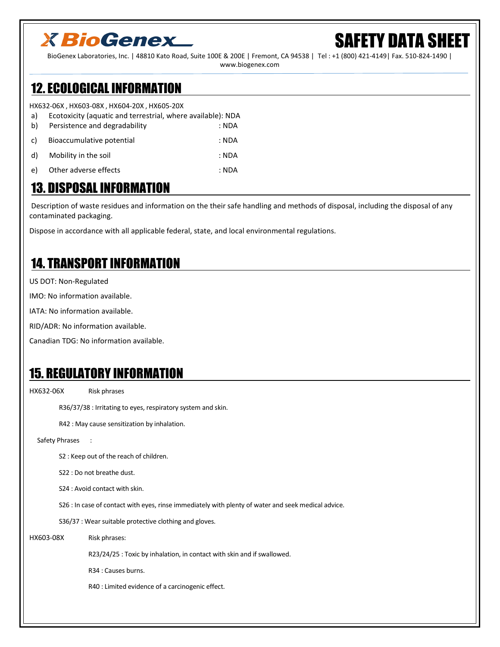## **(FETY DATA SHEET**

BioGenex Laboratories, Inc. | 48810 Kato Road, Suite 100E & 200E | Fremont, CA 94538 | Tel : +1 (800) 421-4149| Fax. 510-824-1490 | www.biogenex.com

### 12. ECOLOGICAL INFORMATION

HX632-06X , HX603-08X , HX604-20X , HX605-20X

| a) | Ecotoxicity (aquatic and terrestrial, where available): NDA |       |
|----|-------------------------------------------------------------|-------|
| b) | Persistence and degradability                               | : NDA |
| C) | Bioaccumulative potential                                   | : NDA |
| d) | Mobility in the soil                                        | : NDA |
| e) | Other adverse effects                                       | : NDA |
|    |                                                             |       |

### 13. DISPOSAL INFORMATION

 Description of waste residues and information on the their safe handling and methods of disposal, including the disposal of any contaminated packaging.

Dispose in accordance with all applicable federal, state, and local environmental regulations.

### 14. TRANSPORT INFORMATION

US DOT: Non-Regulated

IMO: No information available.

IATA: No information available.

RID/ADR: No information available.

Canadian TDG: No information available.

### 15. REGULATORY INFORMATION

HX632-06X Risk phrases

R36/37/38 : Irritating to eyes, respiratory system and skin.

R42 : May cause sensitization by inhalation.

Safety Phrases :

S2 : Keep out of the reach of children.

S22 : Do not breathe dust.

S24 : Avoid contact with skin.

S26 : In case of contact with eyes, rinse immediately with plenty of water and seek medical advice.

S36/37 : Wear suitable protective clothing and gloves.

HX603-08X Risk phrases:

R23/24/25 : Toxic by inhalation, in contact with skin and if swallowed.

R34 : Causes burns.

R40 : Limited evidence of a carcinogenic effect.